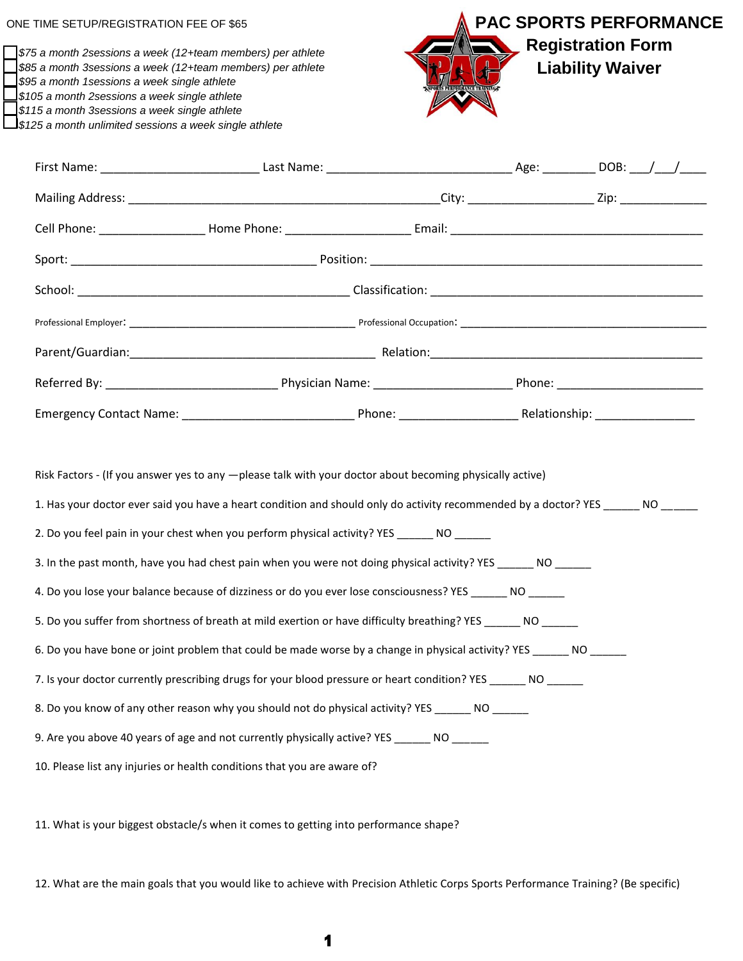#### ONE TIME SETUP/REGISTRATION FEE OF \$65

 *\$75 a month 2sessions a week (12+team members) per athlete \$85 a month 3sessions a week (12+team members) per athlete \$95 a month 1sessions a week single athlete \$105 a month 2sessions a week single athlete*

- 
- *\$115 a month 3sessions a week single athlete*

 *\$125 a month unlimited sessions a week single athlete*



Risk Factors - (If you answer yes to any —please talk with your doctor about becoming physically active) 1. Has your doctor ever said you have a heart condition and should only do activity recommended by a doctor? YES NO 2. Do you feel pain in your chest when you perform physical activity? YES NO 3. In the past month, have you had chest pain when you were not doing physical activity? YES NO 4. Do you lose your balance because of dizziness or do you ever lose consciousness? YES NO 5. Do you suffer from shortness of breath at mild exertion or have difficulty breathing? YES \_\_\_\_\_\_\_ NO \_\_\_\_\_\_ 6. Do you have bone or joint problem that could be made worse by a change in physical activity? YES \_\_\_\_\_\_ NO \_\_\_\_\_\_ 7. Is your doctor currently prescribing drugs for your blood pressure or heart condition? YES \_\_\_\_\_\_\_ NO \_\_\_\_\_\_ 8. Do you know of any other reason why you should not do physical activity? YES \_\_\_\_\_\_\_ NO \_\_\_\_\_\_ 9. Are you above 40 years of age and not currently physically active? YES \_\_\_\_\_\_ NO \_\_\_\_\_ 10. Please list any injuries or health conditions that you are aware of?

11. What is your biggest obstacle/s when it comes to getting into performance shape?

12. What are the main goals that you would like to achieve with Precision Athletic Corps Sports Performance Training? (Be specific)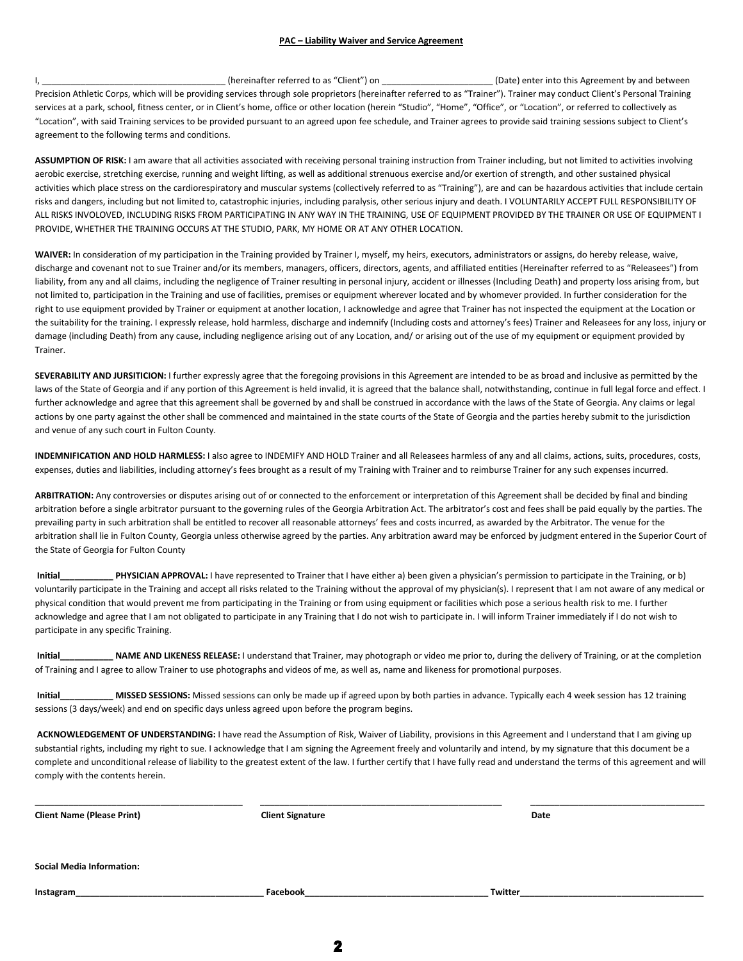#### **PAC – Liability Waiver and Service Agreement**

I, thereinafter referred to as "Client") on  $\Box$  (Date) enter into this Agreement by and between Precision Athletic Corps, which will be providing services through sole proprietors (hereinafter referred to as "Trainer"). Trainer may conduct Client's Personal Training services at a park, school, fitness center, or in Client's home, office or other location (herein "Studio", "Home", "Office", or "Location", or referred to collectively as "Location", with said Training services to be provided pursuant to an agreed upon fee schedule, and Trainer agrees to provide said training sessions subject to Client's agreement to the following terms and conditions.

ASSUMPTION OF RISK: I am aware that all activities associated with receiving personal training instruction from Trainer including, but not limited to activities involving aerobic exercise, stretching exercise, running and weight lifting, as well as additional strenuous exercise and/or exertion of strength, and other sustained physical activities which place stress on the cardiorespiratory and muscular systems (collectively referred to as "Training"), are and can be hazardous activities that include certain risks and dangers, including but not limited to, catastrophic injuries, including paralysis, other serious injury and death. I VOLUNTARILY ACCEPT FULL RESPONSIBILITY OF ALL RISKS INVOLOVED, INCLUDING RISKS FROM PARTICIPATING IN ANY WAY IN THE TRAINING, USE OF EQUIPMENT PROVIDED BY THE TRAINER OR USE OF EQUIPMENT I PROVIDE, WHETHER THE TRAINING OCCURS AT THE STUDIO, PARK, MY HOME OR AT ANY OTHER LOCATION.

**WAIVER:** In consideration of my participation in the Training provided by Trainer I, myself, my heirs, executors, administrators or assigns, do hereby release, waive, discharge and covenant not to sue Trainer and/or its members, managers, officers, directors, agents, and affiliated entities (Hereinafter referred to as "Releasees") from liability, from any and all claims, including the negligence of Trainer resulting in personal injury, accident or illnesses (Including Death) and property loss arising from, but not limited to, participation in the Training and use of facilities, premises or equipment wherever located and by whomever provided. In further consideration for the right to use equipment provided by Trainer or equipment at another location, I acknowledge and agree that Trainer has not inspected the equipment at the Location or the suitability for the training. I expressly release, hold harmless, discharge and indemnify (Including costs and attorney's fees) Trainer and Releasees for any loss, injury or damage (including Death) from any cause, including negligence arising out of any Location, and/ or arising out of the use of my equipment or equipment provided by Trainer.

**SEVERABILITY AND JURSITICION:** I further expressly agree that the foregoing provisions in this Agreement are intended to be as broad and inclusive as permitted by the laws of the State of Georgia and if any portion of this Agreement is held invalid, it is agreed that the balance shall, notwithstanding, continue in full legal force and effect. I further acknowledge and agree that this agreement shall be governed by and shall be construed in accordance with the laws of the State of Georgia. Any claims or legal actions by one party against the other shall be commenced and maintained in the state courts of the State of Georgia and the parties hereby submit to the jurisdiction and venue of any such court in Fulton County.

**INDEMNIFICATION AND HOLD HARMLESS:** I also agree to INDEMIFY AND HOLD Trainer and all Releasees harmless of any and all claims, actions, suits, procedures, costs, expenses, duties and liabilities, including attorney's fees brought as a result of my Training with Trainer and to reimburse Trainer for any such expenses incurred.

**ARBITRATION:** Any controversies or disputes arising out of or connected to the enforcement or interpretation of this Agreement shall be decided by final and binding arbitration before a single arbitrator pursuant to the governing rules of the Georgia Arbitration Act. The arbitrator's cost and fees shall be paid equally by the parties. The prevailing party in such arbitration shall be entitled to recover all reasonable attorneys' fees and costs incurred, as awarded by the Arbitrator. The venue for the arbitration shall lie in Fulton County, Georgia unless otherwise agreed by the parties. Any arbitration award may be enforced by judgment entered in the Superior Court of the State of Georgia for Fulton County

**Initial\_\_\_\_\_\_\_\_\_\_\_ PHYSICIAN APPROVAL:** I have represented to Trainer that I have either a) been given a physician's permission to participate in the Training, or b) voluntarily participate in the Training and accept all risks related to the Training without the approval of my physician(s). I represent that I am not aware of any medical or physical condition that would prevent me from participating in the Training or from using equipment or facilities which pose a serious health risk to me. I further acknowledge and agree that I am not obligated to participate in any Training that I do not wish to participate in. I will inform Trainer immediately if I do not wish to participate in any specific Training.

**Initial\_\_\_\_\_\_\_\_\_\_\_ NAME AND LIKENESS RELEASE:** I understand that Trainer, may photograph or video me prior to, during the delivery of Training, or at the completion of Training and I agree to allow Trainer to use photographs and videos of me, as well as, name and likeness for promotional purposes.

**Initial\_\_\_\_\_\_\_\_\_\_\_ MISSED SESSIONS:** Missed sessions can only be made up if agreed upon by both parties in advance. Typically each 4 week session has 12 training sessions (3 days/week) and end on specific days unless agreed upon before the program begins.

ACKNOWLEDGEMENT OF UNDERSTANDING: I have read the Assumption of Risk, Waiver of Liability, provisions in this Agreement and I understand that I am giving up substantial rights, including my right to sue. I acknowledge that I am signing the Agreement freely and voluntarily and intend, by my signature that this document be a complete and unconditional release of liability to the greatest extent of the law. I further certify that I have fully read and understand the terms of this agreement and will comply with the contents herein.

| <b>Client Name (Please Print)</b> | <b>Client Signature</b> | Date    |
|-----------------------------------|-------------------------|---------|
| <b>Social Media Information:</b>  |                         |         |
| Instagram                         | Facebook                | Twitter |

2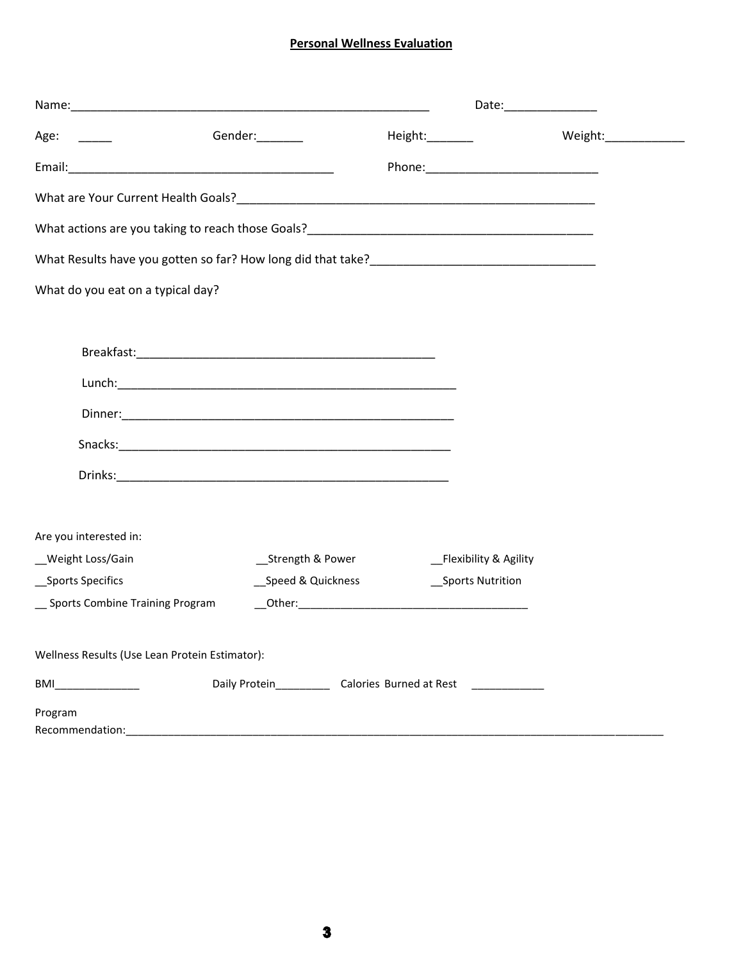## **Personal Wellness Evaluation**

| Age: ______                                    | Gender:_______                                                       |                        | Height: _________ Weight: ___________ |
|------------------------------------------------|----------------------------------------------------------------------|------------------------|---------------------------------------|
|                                                |                                                                      |                        |                                       |
|                                                |                                                                      |                        |                                       |
|                                                |                                                                      |                        |                                       |
|                                                |                                                                      |                        |                                       |
| What do you eat on a typical day?              |                                                                      |                        |                                       |
|                                                |                                                                      |                        |                                       |
|                                                |                                                                      |                        |                                       |
|                                                |                                                                      |                        |                                       |
|                                                |                                                                      |                        |                                       |
|                                                |                                                                      |                        |                                       |
|                                                |                                                                      |                        |                                       |
|                                                |                                                                      |                        |                                       |
| Are you interested in:                         |                                                                      |                        |                                       |
| _Weight Loss/Gain                              | __Strength & Power                                                   | _Flexibility & Agility |                                       |
| _Sports Specifics                              | _Speed & Quickness                                                   | __Sports Nutrition     |                                       |
| Sports Combine Training Program                |                                                                      |                        |                                       |
| Wellness Results (Use Lean Protein Estimator): |                                                                      |                        |                                       |
| BMI                                            | Daily Protein_______________ Calories Burned at Rest _______________ |                        |                                       |
| Program                                        |                                                                      |                        |                                       |
| Recommendation:                                |                                                                      |                        |                                       |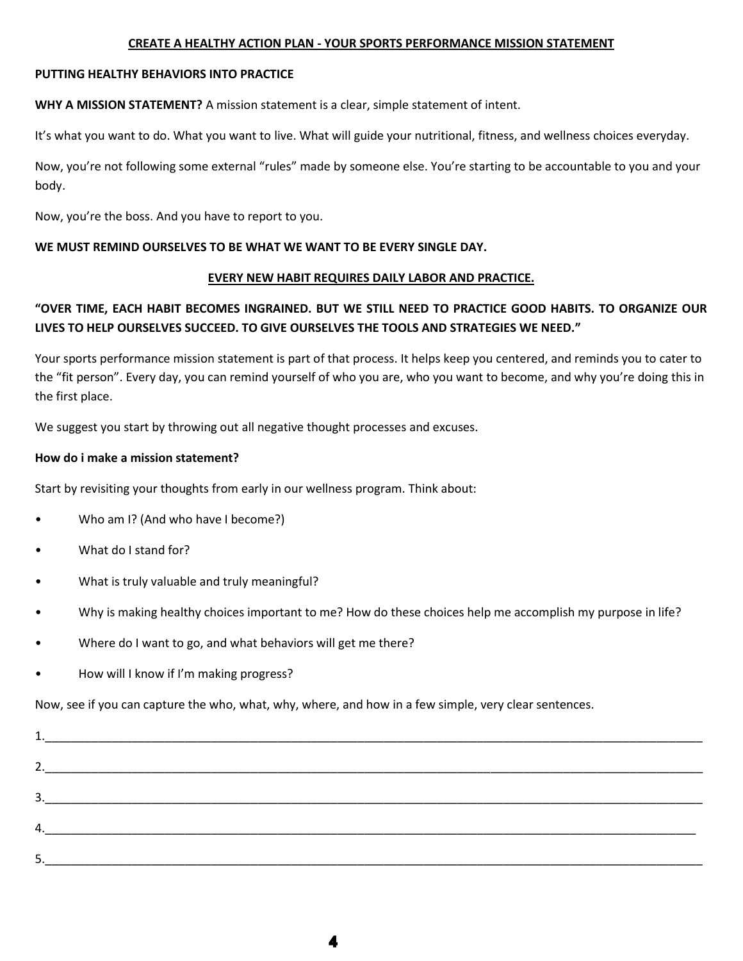#### **CREATE A HEALTHY ACTION PLAN - YOUR SPORTS PERFORMANCE MISSION STATEMENT**

#### **PUTTING HEALTHY BEHAVIORS INTO PRACTICE**

**WHY A MISSION STATEMENT?** A mission statement is a clear, simple statement of intent.

It's what you want to do. What you want to live. What will guide your nutritional, fitness, and wellness choices everyday.

Now, you're not following some external "rules" made by someone else. You're starting to be accountable to you and your body.

Now, you're the boss. And you have to report to you.

#### **WE MUST REMIND OURSELVES TO BE WHAT WE WANT TO BE EVERY SINGLE DAY.**

#### **EVERY NEW HABIT REQUIRES DAILY LABOR AND PRACTICE.**

## **"OVER TIME, EACH HABIT BECOMES INGRAINED. BUT WE STILL NEED TO PRACTICE GOOD HABITS. TO ORGANIZE OUR LIVES TO HELP OURSELVES SUCCEED. TO GIVE OURSELVES THE TOOLS AND STRATEGIES WE NEED."**

Your sports performance mission statement is part of that process. It helps keep you centered, and reminds you to cater to the "fit person". Every day, you can remind yourself of who you are, who you want to become, and why you're doing this in the first place.

We suggest you start by throwing out all negative thought processes and excuses.

### **How do i make a mission statement?**

Start by revisiting your thoughts from early in our wellness program. Think about:

- Who am I? (And who have I become?)
- What do I stand for?
- What is truly valuable and truly meaningful?
- Why is making healthy choices important to me? How do these choices help me accomplish my purpose in life?
- Where do I want to go, and what behaviors will get me there?
- How will I know if I'm making progress?

Now, see if you can capture the who, what, why, where, and how in a few simple, very clear sentences.

| 2.                                                                        |  |  |
|---------------------------------------------------------------------------|--|--|
| 3.<br>the contract of the contract of the contract of the contract of the |  |  |
| 4.                                                                        |  |  |
|                                                                           |  |  |
|                                                                           |  |  |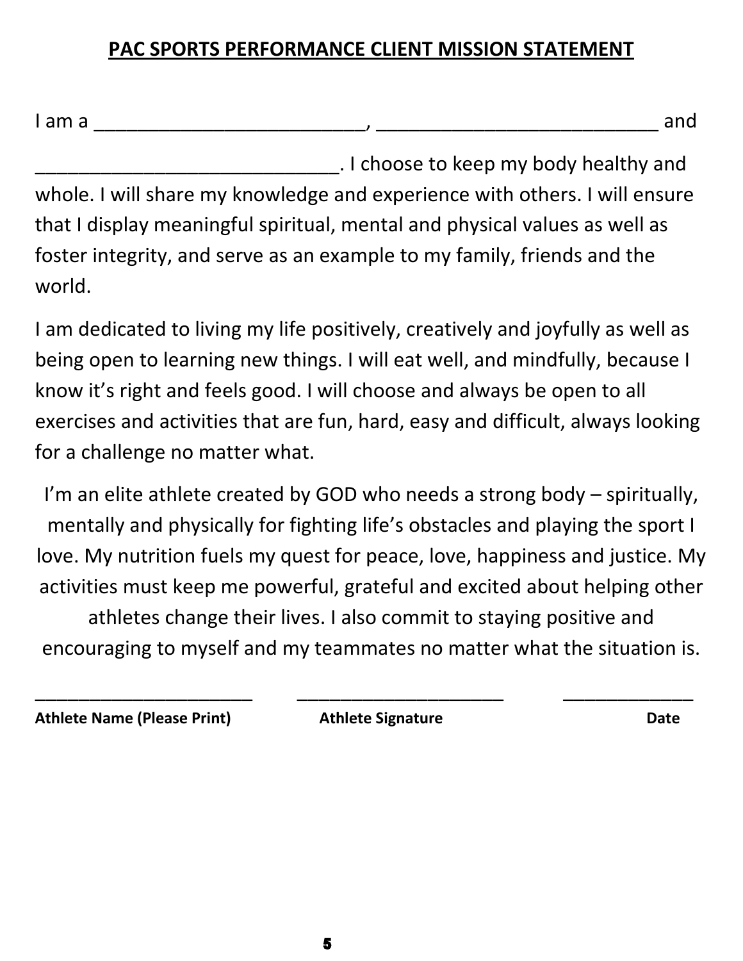# **PAC SPORTS PERFORMANCE CLIENT MISSION STATEMENT**

I am a \_\_\_\_\_\_\_\_\_\_\_\_\_\_\_\_\_\_\_\_\_\_\_\_\_, \_\_\_\_\_\_\_\_\_\_\_\_\_\_\_\_\_\_\_\_\_\_\_\_\_\_ and

\_\_\_\_\_\_\_\_\_\_\_\_\_\_\_\_\_\_\_\_\_\_\_\_\_\_\_\_. I choose to keep my body healthy and whole. I will share my knowledge and experience with others. I will ensure that I display meaningful spiritual, mental and physical values as well as foster integrity, and serve as an example to my family, friends and the world.

I am dedicated to living my life positively, creatively and joyfully as well as being open to learning new things. I will eat well, and mindfully, because I know it's right and feels good. I will choose and always be open to all exercises and activities that are fun, hard, easy and difficult, always looking for a challenge no matter what.

I'm an elite athlete created by GOD who needs a strong body – spiritually, mentally and physically for fighting life's obstacles and playing the sport I love. My nutrition fuels my quest for peace, love, happiness and justice. My activities must keep me powerful, grateful and excited about helping other athletes change their lives. I also commit to staying positive and encouraging to myself and my teammates no matter what the situation is.

Athlete Name (Please Print) **Athlete Signature Athlete Signature Date** 

\_\_\_\_\_\_\_\_\_\_\_\_\_\_\_\_\_\_\_\_ \_\_\_\_\_\_\_\_\_\_\_\_\_\_\_\_\_\_\_ \_\_\_\_\_\_\_\_\_\_\_\_